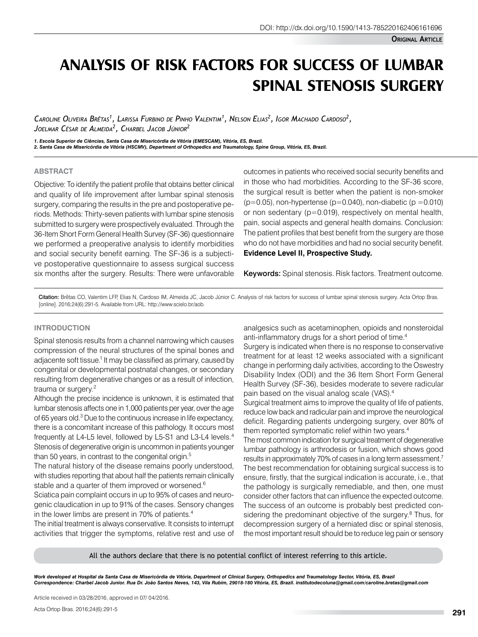# **ANALYSIS OF RISK FACTORS FOR SUCCESS OF LUMBAR SPINAL STENOSIS SURGERY**

*Caroline Oliveira Brêtas1 , Larissa Furbino de Pinho Valentim1 , Nelson Elias2 , Igor Machado Cardoso2 , Joelmar César de Almeida2 , Charbel Jacob Júnior2*

1. Escola Superior de Ciências, Santa Casa de Misericórdia de Vitória (EMESCAM), Vitória, ES, Brazil.<br>2. Santa Casa de Misericórdia de Vitória (HSCMV), Department of Orthopedics and Traumatology, Spine Group, Vitória, ES,

### **ABSTRACT**

Objective: To identify the patient profile that obtains better clinical and quality of life improvement after lumbar spinal stenosis surgery, comparing the results in the pre and postoperative periods. Methods: Thirty-seven patients with lumbar spine stenosis submitted to surgery were prospectively evaluated. Through the 36-Item Short Form General Health Survey (SF-36) questionnaire we performed a preoperative analysis to identify morbidities and social security benefit earning. The SF-36 is a subjective postoperative questionnaire to assess surgical success six months after the surgery. Results: There were unfavorable outcomes in patients who received social security benefits and in those who had morbidities. According to the SF-36 score, the surgical result is better when the patient is non-smoker ( $p=0.05$ ), non-hypertense ( $p=0.040$ ), non-diabetic ( $p=0.010$ ) or non sedentary (p=0.019), respectively on mental health, pain, social aspects and general health domains. Conclusion: The patient profiles that best benefit from the surgery are those who do not have morbidities and had no social security benefit. **Evidence Level II, Prospective Study.**

Keywords: Spinal stenosis. Risk factors. Treatment outcome.

Citation: Brêtas CO, Valentim LFP, Elias N, Cardoso IM, Almeida JC, Jacob Júnior C. Analysis of risk factors for success of lumbar spinal stenosis surgery. Acta Ortop Bras. [online]. 2016;24(6):291-5. Available from URL: http://www.scielo.br/aob.

## **INTRODUCTION**

Spinal stenosis results from a channel narrowing which causes compression of the neural structures of the spinal bones and adjacente soft tissue.<sup>1</sup> It may be classified as primary, caused by congenital or developmental postnatal changes, or secondary resulting from degenerative changes or as a result of infection, trauma or surgery.<sup>2</sup>

Although the precise incidence is unknown, it is estimated that lumbar stenosis affects one in 1,000 patients per year, over the age of 65 years old.<sup>3</sup> Due to the continuous increase in life expectancy, there is a concomitant increase of this pathology. It occurs most frequently at L4-L5 level, followed by L5-S1 and L3-L4 levels.<sup>4</sup> Stenosis of degenerative origin is uncommon in patients younger than 50 years, in contrast to the congenital origin.<sup>5</sup>

The natural history of the disease remains poorly understood, with studies reporting that about half the patients remain clinically stable and a quarter of them improved or worsened.<sup>6</sup>

Sciatica pain complaint occurs in up to 95% of cases and neurogenic claudication in up to 91% of the cases. Sensory changes in the lower limbs are present in 70% of patients.<sup>4</sup>

The initial treatment is always conservative. It consists to interrupt activities that trigger the symptoms, relative rest and use of analgesics such as acetaminophen, opioids and nonsteroidal anti-inflammatory drugs for a short period of time.<sup>4</sup>

Surgery is indicated when there is no response to conservative treatment for at least 12 weeks associated with a significant change in performing daily activities, according to the Oswestry Disability Index (ODI) and the 36 Item Short Form General Health Survey (SF-36), besides moderate to severe radicular pain based on the visual analog scale (VAS).4

Surgical treatment aims to improve the quality of life of patients, reduce low back and radicular pain and improve the neurological deficit. Regarding patients undergoing surgery, over 80% of them reported symptomatic relief within two years.<sup>4</sup>

The most common indication for surgical treatment of degenerative lumbar pathology is arthrodesis or fusion, which shows good results in approximately 70% of cases in a long term assessment.<sup>7</sup> The best recommendation for obtaining surgical success is to ensure, firstly, that the surgical indication is accurate, i.e., that the pathology is surgically remediable, and then, one must consider other factors that can influence the expected outcome. The success of an outcome is probably best predicted considering the predominant objective of the surgery.<sup>8</sup> Thus, for decompression surgery of a herniated disc or spinal stenosis, the most important result should be to reduce leg pain or sensory

All the authors declare that there is no potential conflict of interest referring to this article.

*Work developed at Hospital da Santa Casa de Misericórdia de Vitória, Department of Clinical Surgery, Orthopedics and Traumatology Sector, Vitória, ES, Brazil Correspondence: Charbel Jacob Junior. Rua Dr. João Santos Neves, 143, Vila Rubim, 29018-180 Vitória, ES, Brazil. institutodecoluna@gmail.com/caroline.bretas@gmail.com* 

Article received in 03/28/2016, approved in 07/ 04/2016.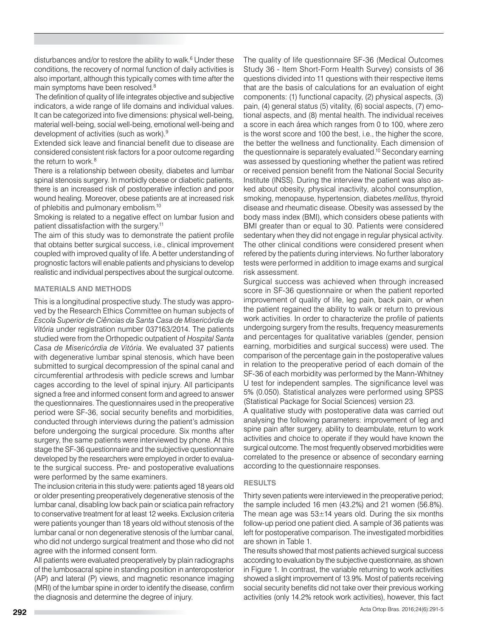disturbances and/or to restore the ability to walk.<sup>6</sup> Under these conditions, the recovery of normal function of daily activities is also important, although this typically comes with time after the main symptoms have been resolved.8

The definition of quality of life integrates objective and subjective indicators, a wide range of life domains and individual values. It can be categorized into five dimensions: physical well-being, material well-being, social well-being, emotional well-being and development of activities (such as work).9

Extended sick leave and financial benefit due to disease are considered consistent risk factors for a poor outcome regarding the return to work.<sup>8</sup>

There is a relationship between obesity, diabetes and lumbar spinal stenosis surgery. In morbidly obese or diabetic patients, there is an increased risk of postoperative infection and poor wound healing. Moreover, obese patients are at increased risk of phlebitis and pulmonary embolism.10

Smoking is related to a negative effect on lumbar fusion and patient dissatisfaction with the surgery.11

The aim of this study was to demonstrate the patient profile that obtains better surgical success, i.e., clinical improvement coupled with improved quality of life. A better understanding of prognostic factors will enable patients and physicians to develop realistic and individual perspectives about the surgical outcome.

## **MATERIALS AND METHODS**

This is a longitudinal prospective study. The study was approved by the Research Ethics Committee on human subjects of *Escola Superior de Ciências da Santa Casa de Misericórdia de Vitória* under registration number 037163/2014. The patients studied were from the Orthopedic outpatient of *Hospital Santa Casa de Misericórdia de Vitória*. We evaluated 37 patients with degenerative lumbar spinal stenosis, which have been submitted to surgical decompression of the spinal canal and circumferential arthrodesis with pedicle screws and lumbar cages according to the level of spinal injury. All participants signed a free and informed consent form and agreed to answer the questionnaires. The questionnaires used in the preoperative period were SF-36, social security benefits and morbidities, conducted through interviews during the patient's admission before undergoing the surgical procedure. Six months after surgery, the same patients were interviewed by phone. At this stage the SF-36 questionnaire and the subjective questionnaire developed by the researchers were employed in order to evaluate the surgical success. Pre- and postoperative evaluations were performed by the same examiners.

The inclusion criteria in this study were: patients aged 18 years old or older presenting preoperatively degenerative stenosis of the lumbar canal, disabling low back pain or sciatica pain refractory to conservative treatment for at least 12 weeks. Exclusion criteria were patients younger than 18 years old without stenosis of the lumbar canal or non degenerative stenosis of the lumbar canal, who did not undergo surgical treatment and those who did not agree with the informed consent form.

All patients were evaluated preoperatively by plain radiographs of the lumbosacral spine in standing position in anteroposterior (AP) and lateral (P) views, and magnetic resonance imaging (MRI) of the lumbar spine in order to identify the disease, confirm the diagnosis and determine the degree of injury.

The quality of life questionnaire SF-36 (Medical Outcomes Study 36 - Item Short-Form Health Survey) consists of 36 questions divided into 11 questions with their respective items that are the basis of calculations for an evaluation of eight components: (1) functional capacity, (2) physical aspects, (3) pain, (4) general status (5) vitality, (6) social aspects, (7) emotional aspects, and (8) mental health. The individual receives a score in each área which ranges from 0 to 100, where zero is the worst score and 100 the best, i.e., the higher the score, the better the wellness and functionality. Each dimension of the questionnaire is separately evaluated.<sup>10</sup> Secondary earning was assessed by questioning whether the patient was retired or received pension benefit from the National Social Security Institute (INSS). During the interview the patient was also asked about obesity, physical inactivity, alcohol consumption, smoking, menopause, hypertension, diabetes *mellitus*, thyroid disease and rheumatic disease. Obesity was assessed by the body mass index (BMI), which considers obese patients with BMI greater than or equal to 30. Patients were considered sedentary when they did not engage in regular physical activity. The other clinical conditions were considered present when refered by the patients during interviews. No further laboratory tests were performed in addition to image exams and surgical risk assessment.

Surgical success was achieved when through increased score in SF-36 questionnaire or when the patient reported improvement of quality of life, leg pain, back pain, or when the patient regained the ability to walk or return to previous work activities. In order to characterize the profile of patients undergoing surgery from the results, frequency measurements and percentages for qualitative variables (gender, pension earning, morbidities and surgical success) were used. The comparison of the percentage gain in the postoperative values in relation to the preoperative period of each domain of the SF-36 of each morbidity was performed by the Mann-Whitney U test for independent samples. The significance level was 5% (0.050). Statistical analyzes were performed using SPSS (Statistical Package for Social Sciences) version 23.

A qualitative study with postoperative data was carried out analysing the following parameters: improvement of leg and spine pain after surgery, ability to deambulate, return to work activities and choice to operate if they would have known the surgical outcome. The most frequently observed morbidities were correlated to the presence or absence of secondary earning according to the questionnaire responses.

## **RESULTS**

Thirty seven patients were interviewed in the preoperative period; the sample included 16 men (43.2%) and 21 women (56.8%). The mean age was  $53\pm14$  years old. During the six months follow-up period one patient died. A sample of 36 patients was left for postoperative comparison. The investigated morbidities are shown in Table 1.

The results showed that most patients achieved surgical success according to evaluation by the subjective questionnaire, as shown in Figure 1. In contrast, the variable returning to work activities showed a slight improvement of 13.9%. Most of patients receiving social security benefits did not take over their previous working activities (only 14.2% retook work activities), however, this fact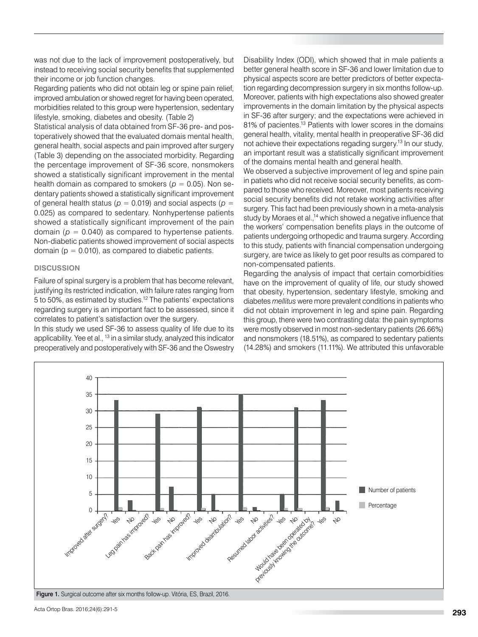was not due to the lack of improvement postoperatively, but instead to receiving social security benefits that supplemented their income or job function changes.

Regarding patients who did not obtain leg or spine pain relief, improved ambulation or showed regret for having been operated, morbidities related to this group were hypertension, sedentary lifestyle, smoking, diabetes and obesity. (Table 2)

Statistical analysis of data obtained from SF-36 pre- and postoperatively showed that the evaluated domais mental health, general health, social aspects and pain improved after surgery (Table 3) depending on the associated morbidity. Regarding the percentage improvement of SF-36 score, nonsmokers showed a statistically significant improvement in the mental health domain as compared to smokers ( $p = 0.05$ ). Non sedentary patients showed a statistically significant improvement of general health status ( $p = 0.019$ ) and social aspects ( $p =$ 0.025) as compared to sedentary. Nonhypertense patients showed a statistically significant improvement of the pain domain  $(p = 0.040)$  as compared to hypertense patients. Non-diabetic patients showed improvement of social aspects domain ( $p = 0.010$ ), as compared to diabetic patients.

## **DISCUSSION**

Failure of spinal surgery is a problem that has become relevant, justifying its restricted indication, with failure rates ranging from 5 to 50%, as estimated by studies.12 The patients' expectations regarding surgery is an important fact to be assessed, since it correlates to patient's satisfaction over the surgery.

In this study we used SF-36 to assess quality of life due to its applicability. Yee et al., <sup>13</sup> in a similar study, analyzed this indicator preoperatively and postoperatively with SF-36 and the Oswestry Disability Index (ODI), which showed that in male patients a better general health score in SF-36 and lower limitation due to physical aspects score are better predictors of better expectation regarding decompression surgery in six months follow-up. Moreover, patients with high expectations also showed greater improvements in the domain limitation by the physical aspects in SF-36 after surgery; and the expectations were achieved in 81% of pacientes.<sup>13</sup> Patients with lower scores in the domains general health, vitality, mental health in preoperative SF-36 did not achieve their expectations regading surgery.<sup>13</sup> In our study, an important result was a statistically significant improvement of the domains mental health and general health.

We observed a subjective improvement of leg and spine pain in patiets who did not receive social security benefits, as compared to those who received. Moreover, most patients receiving social security benefits did not retake working activities after surgery. This fact had been previously shown in a meta-analysis study by Moraes et al.,<sup>14</sup> which showed a negative influence that the workers' compensation benefits plays in the outcome of patients undergoing orthopedic and trauma surgery. According to this study, patients with financial compensation undergoing surgery, are twice as likely to get poor results as compared to non-compensated patients.

Regarding the analysis of impact that certain comorbidities have on the improvement of quality of life, our study showed that obesity, hypertension, sedentary lifestyle, smoking and diabetes *mellitus* were more prevalent conditions in patients who did not obtain improvement in leg and spine pain. Regarding this group, there were two contrasting data: the pain symptoms were mostly observed in most non-sedentary patients (26.66%) and nonsmokers (18.51%), as compared to sedentary patients (14.28%) and smokers (11.11%). We attributed this unfavorable

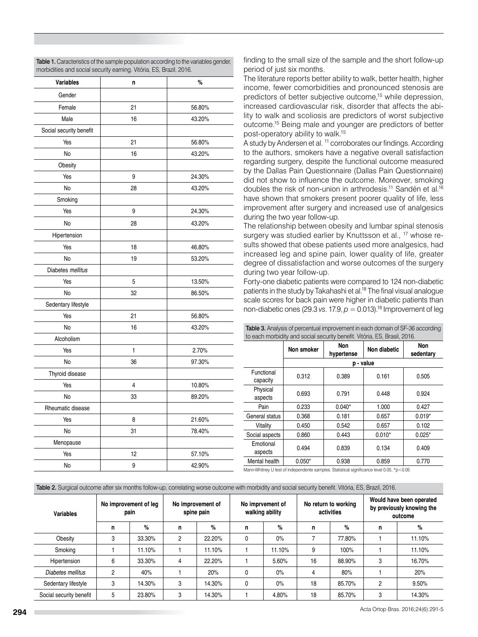| <b>Variables</b>        | n                       | %      |
|-------------------------|-------------------------|--------|
| Gender                  |                         |        |
| Female                  | 21                      | 56.80% |
| Male                    | 16                      | 43.20% |
| Social security benefit |                         |        |
| Yes                     | 21                      | 56.80% |
| No                      | 16                      | 43.20% |
| Obesity                 |                         |        |
| Yes                     | 9                       | 24.30% |
| No                      | 28                      | 43.20% |
| Smoking                 |                         |        |
| Yes                     | 9                       | 24.30% |
| No                      | 28                      | 43.20% |
| Hipertension            |                         |        |
| Yes                     | 18                      | 46.80% |
| No                      | 19                      | 53.20% |
| Diabetes mellitus       |                         |        |
| Yes                     | 5                       | 13.50% |
| No                      | 32                      | 86.50% |
| Sedentary lifestyle     |                         |        |
| Yes                     | 21                      | 56.80% |
| No                      | 16                      | 43.20% |
| Alcoholism              |                         |        |
| Yes                     | 1                       | 2.70%  |
| No                      | 36                      | 97.30% |
| Thyroid disease         |                         |        |
| Yes                     | $\overline{\mathbf{4}}$ | 10.80% |
| No                      | 33                      | 89.20% |
| Rheumatic disease       |                         |        |
| Yes                     | 8                       | 21.60% |
| No                      | 31                      | 78.40% |
| Menopause               |                         |        |
| Yes                     | 12                      | 57.10% |
| No                      | 9                       | 42.90% |

Table 1. Caracteristics of the sample population according to the variables gender. morbidities and social security earning. Vitória, ES, Brazil, 2016.

finding to the small size of the sample and the short follow-up period of just six months.

The literature reports better ability to walk, better health, higher income, fewer comorbidities and pronounced stenosis are predictors of better subjective outcome,15 while depression, increased cardiovascular risk, disorder that affects the ability to walk and scoliosis are predictors of worst subjective outcome.15 Being male and younger are predictors of better post-operatory ability to walk.15

A study by Andersen et al. <sup>11</sup> corroborates our findings. According to the authors, smokers have a negative overall satisfaction regarding surgery, despite the functional outcome measured by the Dallas Pain Questionnaire (Dallas Pain Questionnaire) did not show to influence the outcome. Moreover, smoking doubles the risk of non-union in arthrodesis.<sup>11</sup> Sandén et al.<sup>16</sup> have shown that smokers present poorer quality of life, less improvement after surgery and increased use of analgesics during the two year follow-up.

The relationship between obesity and lumbar spinal stenosis surgery was studied earlier by Knuttsson et al., <sup>17</sup> whose results showed that obese patients used more analgesics, had increased leg and spine pain, lower quality of life, greater degree of dissatisfaction and worse outcomes of the surgery during two year follow-up.

Forty-one diabetic patients were compared to 124 non-diabetic patients in the study by Takahashi et al.<sup>18</sup> The final visual analogue scale scores for back pain were higher in diabetic patients than non-diabetic ones (29.3 *vs.* 17.9,  $p = 0.013$ ).<sup>18</sup> Improvement of leg

| to each morbidity and social security benefit. Vitoria, ES, Brasil, 2016.                 |            |                   |              |                  |  |  |
|-------------------------------------------------------------------------------------------|------------|-------------------|--------------|------------------|--|--|
|                                                                                           | Non smoker | Non<br>hypertense | Non diabetic | Non<br>sedentary |  |  |
|                                                                                           | p - value  |                   |              |                  |  |  |
| Functional<br>capacity                                                                    | 0.312      | 0.389             | 0.161        | 0.505            |  |  |
| Physical<br>aspects                                                                       | 0.693      | 0.791             | 0.448        | 0.924            |  |  |
| Pain                                                                                      | 0.233      | $0.040*$          | 1.000        | 0.427            |  |  |
| General status                                                                            | 0.368      | 0.181             | 0.657        | $0.019*$         |  |  |
| Vitality                                                                                  | 0.450      | 0.542             | 0.657        | 0.102            |  |  |
| Social aspects                                                                            | 0.860      | 0.443             | $0.010*$     | $0.025*$         |  |  |
| Emotional<br>aspects                                                                      | 0.494      | 0.839             | 0.134        | 0.409            |  |  |
| Mental health                                                                             | $0.050*$   | 0.938             | 0.859        | 0.770            |  |  |
| Mann-Whitney U test of independente samples. Statistical significance level 0.05, *p<0.05 |            |                   |              |                  |  |  |

Table 3. Analysis of percentual improvement in each domain of SF-36 according to each morbidity and social security benefit. Vitória, ES, Brasil, 2016.

Mann-Whitney U test of independente samples. Statistical significance level 0.05, \*p<0.05

| Table 2. Surgical outcome after six months follow-up, correlating worse outcome with morbidity and social security benefit. Vitória, ES, Brazil, 2016. |  |  |
|--------------------------------------------------------------------------------------------------------------------------------------------------------|--|--|
|                                                                                                                                                        |  |  |

| <b>Variables</b>        | No improvement of leg<br>pain |        | No improvement of<br>spine pain |        | No imprvement of<br>walking ability |        | No return to working<br>activities |        | Would have been operated<br>by previously knowing the<br>outcome |        |
|-------------------------|-------------------------------|--------|---------------------------------|--------|-------------------------------------|--------|------------------------------------|--------|------------------------------------------------------------------|--------|
|                         | n                             | %      | n                               | %      | n                                   | %      | n                                  | %      | n                                                                | %      |
| Obesity                 | 3                             | 33.30% | 2                               | 22.20% |                                     | $0\%$  |                                    | 77.80% |                                                                  | 11.10% |
| Smoking                 |                               | 11.10% |                                 | 11.10% |                                     | 11.10% | 9                                  | 100%   |                                                                  | 11.10% |
| Hipertension            | 6                             | 33.30% | 4                               | 22.20% |                                     | 5.60%  | 16                                 | 88.90% | 3                                                                | 16.70% |
| Diabetes mellitus       | 2                             | 40%    |                                 | 20%    |                                     | $0\%$  | 4                                  | 80%    |                                                                  | 20%    |
| Sedentary lifestyle     | 3                             | 14.30% | 3                               | 14.30% | 0                                   | 0%     | 18                                 | 85.70% | $\overline{2}$                                                   | 9.50%  |
| Social security benefit | 5                             | 23.80% | 3                               | 14.30% |                                     | 4.80%  | 18                                 | 85.70% | 3                                                                | 14.30% |